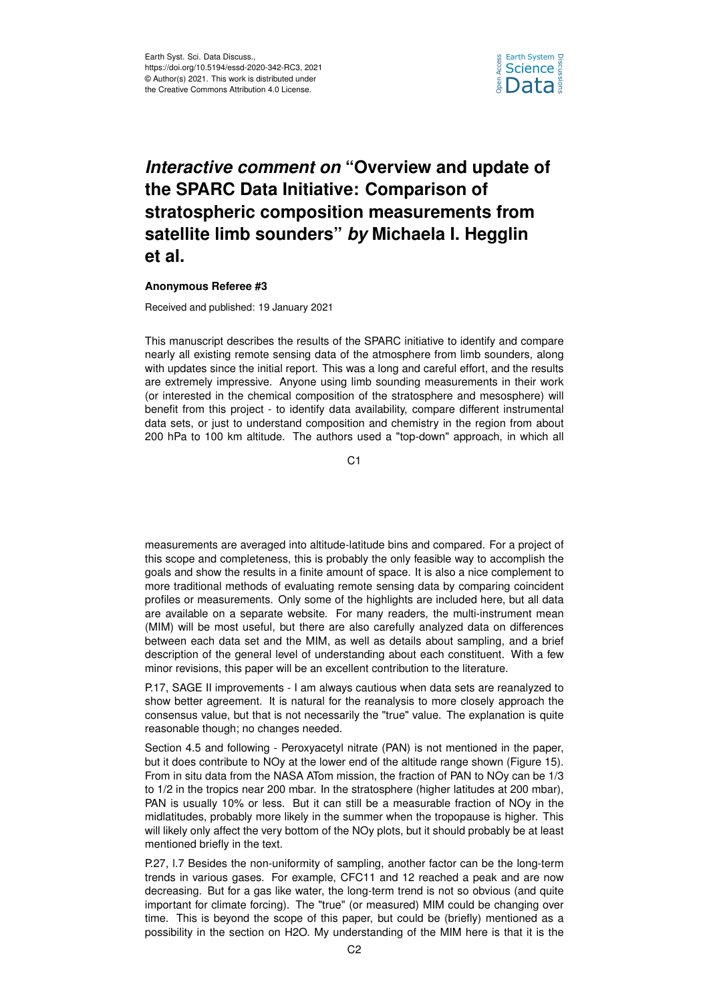

## *Interactive comment on* **"Overview and update of the SPARC Data Initiative: Comparison of stratospheric composition measurements from satellite limb sounders"** *by* **Michaela I. Hegglin et al.**

## **Anonymous Referee #3**

Received and published: 19 January 2021

This manuscript describes the results of the SPARC initiative to identify and compare nearly all existing remote sensing data of the atmosphere from limb sounders, along with updates since the initial report. This was a long and careful effort, and the results are extremely impressive. Anyone using limb sounding measurements in their work (or interested in the chemical composition of the stratosphere and mesosphere) will benefit from this project - to identify data availability, compare different instrumental data sets, or just to understand composition and chemistry in the region from about 200 hPa to 100 km altitude. The authors used a "top-down" approach, in which all

C1

measurements are averaged into altitude-latitude bins and compared. For a project of this scope and completeness, this is probably the only feasible way to accomplish the goals and show the results in a finite amount of space. It is also a nice complement to more traditional methods of evaluating remote sensing data by comparing coincident profiles or measurements. Only some of the highlights are included here, but all data are available on a separate website. For many readers, the multi-instrument mean (MIM) will be most useful, but there are also carefully analyzed data on differences between each data set and the MIM, as well as details about sampling, and a brief description of the general level of understanding about each constituent. With a few minor revisions, this paper will be an excellent contribution to the literature.

P.17, SAGE II improvements - I am always cautious when data sets are reanalyzed to show better agreement. It is natural for the reanalysis to more closely approach the consensus value, but that is not necessarily the "true" value. The explanation is quite reasonable though; no changes needed.

Section 4.5 and following - Peroxyacetyl nitrate (PAN) is not mentioned in the paper, but it does contribute to NOy at the lower end of the altitude range shown (Figure 15). From in situ data from the NASA ATom mission, the fraction of PAN to NOy can be 1/3 to 1/2 in the tropics near 200 mbar. In the stratosphere (higher latitudes at 200 mbar), PAN is usually 10% or less. But it can still be a measurable fraction of NOy in the midlatitudes, probably more likely in the summer when the tropopause is higher. This will likely only affect the very bottom of the NOy plots, but it should probably be at least mentioned briefly in the text.

P.27, l.7 Besides the non-uniformity of sampling, another factor can be the long-term trends in various gases. For example, CFC11 and 12 reached a peak and are now decreasing. But for a gas like water, the long-term trend is not so obvious (and quite important for climate forcing). The "true" (or measured) MIM could be changing over time. This is beyond the scope of this paper, but could be (briefly) mentioned as a possibility in the section on H2O. My understanding of the MIM here is that it is the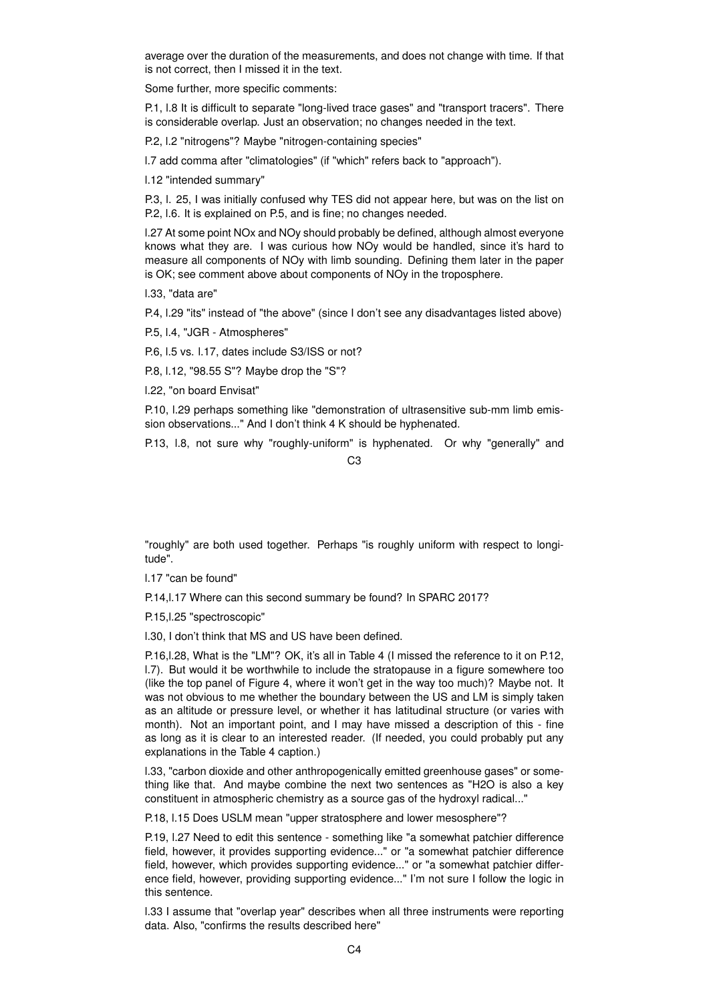average over the duration of the measurements, and does not change with time. If that is not correct, then I missed it in the text.

Some further, more specific comments:

P.1, l.8 It is difficult to separate "long-lived trace gases" and "transport tracers". There is considerable overlap. Just an observation; no changes needed in the text.

P.2, l.2 "nitrogens"? Maybe "nitrogen-containing species"

l.7 add comma after "climatologies" (if "which" refers back to "approach").

l.12 "intended summary"

P.3, l. 25, I was initially confused why TES did not appear here, but was on the list on P.2, l.6. It is explained on P.5, and is fine; no changes needed.

l.27 At some point NOx and NOy should probably be defined, although almost everyone knows what they are. I was curious how NOy would be handled, since it's hard to measure all components of NOy with limb sounding. Defining them later in the paper is OK; see comment above about components of NOy in the troposphere.

l.33, "data are"

P.4, l.29 "its" instead of "the above" (since I don't see any disadvantages listed above)

P.5, l.4, "JGR - Atmospheres"

P.6, l.5 vs. l.17, dates include S3/ISS or not?

P.8, l.12, "98.55 S"? Maybe drop the "S"?

l.22, "on board Envisat"

P.10, l.29 perhaps something like "demonstration of ultrasensitive sub-mm limb emission observations..." And I don't think 4 K should be hyphenated.

P.13, l.8, not sure why "roughly-uniform" is hyphenated. Or why "generally" and

C3

"roughly" are both used together. Perhaps "is roughly uniform with respect to longitude".

l.17 "can be found"

P.14,l.17 Where can this second summary be found? In SPARC 2017?

P.15,l.25 "spectroscopic"

l.30, I don't think that MS and US have been defined.

P.16,l.28, What is the "LM"? OK, it's all in Table 4 (I missed the reference to it on P.12, l.7). But would it be worthwhile to include the stratopause in a figure somewhere too (like the top panel of Figure 4, where it won't get in the way too much)? Maybe not. It was not obvious to me whether the boundary between the US and LM is simply taken as an altitude or pressure level, or whether it has latitudinal structure (or varies with month). Not an important point, and I may have missed a description of this - fine as long as it is clear to an interested reader. (If needed, you could probably put any explanations in the Table 4 caption.)

l.33, "carbon dioxide and other anthropogenically emitted greenhouse gases" or something like that. And maybe combine the next two sentences as "H2O is also a key constituent in atmospheric chemistry as a source gas of the hydroxyl radical..."

P.18, l.15 Does USLM mean "upper stratosphere and lower mesosphere"?

P.19, l.27 Need to edit this sentence - something like "a somewhat patchier difference field, however, it provides supporting evidence..." or "a somewhat patchier difference field, however, which provides supporting evidence..." or "a somewhat patchier difference field, however, providing supporting evidence..." I'm not sure I follow the logic in this sentence.

l.33 I assume that "overlap year" describes when all three instruments were reporting data. Also, "confirms the results described here"